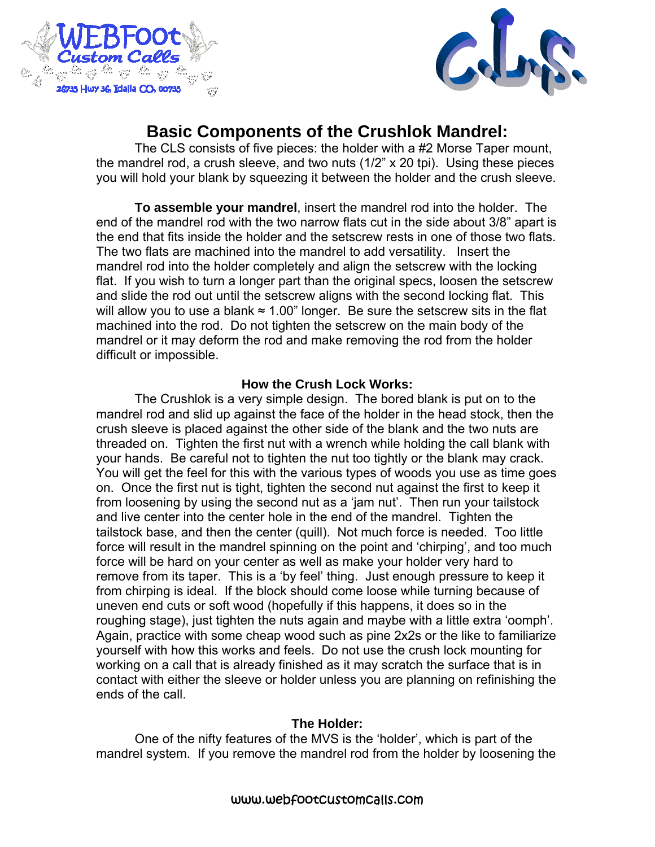



# **Basic Components of the Crushlok Mandrel:**

The CLS consists of five pieces: the holder with a #2 Morse Taper mount, the mandrel rod, a crush sleeve, and two nuts (1/2" x 20 tpi). Using these pieces you will hold your blank by squeezing it between the holder and the crush sleeve.

**To assemble your mandrel**, insert the mandrel rod into the holder. The end of the mandrel rod with the two narrow flats cut in the side about 3/8" apart is the end that fits inside the holder and the setscrew rests in one of those two flats. The two flats are machined into the mandrel to add versatility. Insert the mandrel rod into the holder completely and align the setscrew with the locking flat. If you wish to turn a longer part than the original specs, loosen the setscrew and slide the rod out until the setscrew aligns with the second locking flat. This will allow you to use a blank  $\approx 1.00$ " longer. Be sure the setscrew sits in the flat machined into the rod. Do not tighten the setscrew on the main body of the mandrel or it may deform the rod and make removing the rod from the holder difficult or impossible.

## **How the Crush Lock Works:**

The Crushlok is a very simple design. The bored blank is put on to the mandrel rod and slid up against the face of the holder in the head stock, then the crush sleeve is placed against the other side of the blank and the two nuts are threaded on. Tighten the first nut with a wrench while holding the call blank with your hands. Be careful not to tighten the nut too tightly or the blank may crack. You will get the feel for this with the various types of woods you use as time goes on. Once the first nut is tight, tighten the second nut against the first to keep it from loosening by using the second nut as a 'jam nut'. Then run your tailstock and live center into the center hole in the end of the mandrel. Tighten the tailstock base, and then the center (quill). Not much force is needed. Too little force will result in the mandrel spinning on the point and 'chirping', and too much force will be hard on your center as well as make your holder very hard to remove from its taper. This is a 'by feel' thing. Just enough pressure to keep it from chirping is ideal. If the block should come loose while turning because of uneven end cuts or soft wood (hopefully if this happens, it does so in the roughing stage), just tighten the nuts again and maybe with a little extra 'oomph'. Again, practice with some cheap wood such as pine 2x2s or the like to familiarize yourself with how this works and feels. Do not use the crush lock mounting for working on a call that is already finished as it may scratch the surface that is in contact with either the sleeve or holder unless you are planning on refinishing the ends of the call.

## **The Holder:**

 One of the nifty features of the MVS is the 'holder', which is part of the mandrel system. If you remove the mandrel rod from the holder by loosening the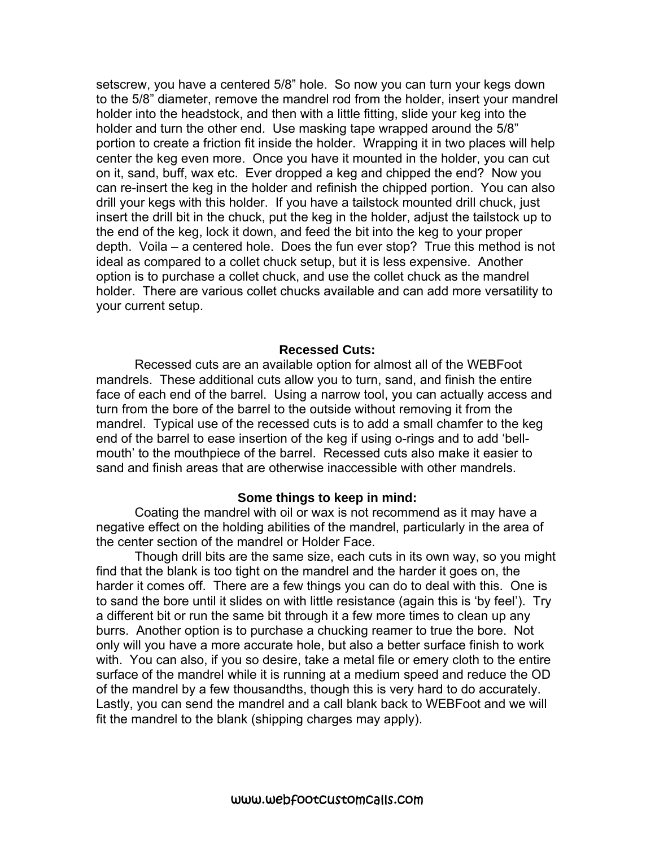setscrew, you have a centered 5/8" hole. So now you can turn your kegs down to the 5/8" diameter, remove the mandrel rod from the holder, insert your mandrel holder into the headstock, and then with a little fitting, slide your keg into the holder and turn the other end. Use masking tape wrapped around the 5/8" portion to create a friction fit inside the holder. Wrapping it in two places will help center the keg even more. Once you have it mounted in the holder, you can cut on it, sand, buff, wax etc. Ever dropped a keg and chipped the end? Now you can re-insert the keg in the holder and refinish the chipped portion. You can also drill your kegs with this holder. If you have a tailstock mounted drill chuck, just insert the drill bit in the chuck, put the keg in the holder, adjust the tailstock up to the end of the keg, lock it down, and feed the bit into the keg to your proper depth. Voila – a centered hole. Does the fun ever stop? True this method is not ideal as compared to a collet chuck setup, but it is less expensive. Another option is to purchase a collet chuck, and use the collet chuck as the mandrel holder. There are various collet chucks available and can add more versatility to your current setup.

#### **Recessed Cuts:**

 Recessed cuts are an available option for almost all of the WEBFoot mandrels. These additional cuts allow you to turn, sand, and finish the entire face of each end of the barrel. Using a narrow tool, you can actually access and turn from the bore of the barrel to the outside without removing it from the mandrel. Typical use of the recessed cuts is to add a small chamfer to the keg end of the barrel to ease insertion of the keg if using o-rings and to add 'bellmouth' to the mouthpiece of the barrel. Recessed cuts also make it easier to sand and finish areas that are otherwise inaccessible with other mandrels.

#### **Some things to keep in mind:**

Coating the mandrel with oil or wax is not recommend as it may have a negative effect on the holding abilities of the mandrel, particularly in the area of the center section of the mandrel or Holder Face.

Though drill bits are the same size, each cuts in its own way, so you might find that the blank is too tight on the mandrel and the harder it goes on, the harder it comes off. There are a few things you can do to deal with this. One is to sand the bore until it slides on with little resistance (again this is 'by feel'). Try a different bit or run the same bit through it a few more times to clean up any burrs. Another option is to purchase a chucking reamer to true the bore. Not only will you have a more accurate hole, but also a better surface finish to work with. You can also, if you so desire, take a metal file or emery cloth to the entire surface of the mandrel while it is running at a medium speed and reduce the OD of the mandrel by a few thousandths, though this is very hard to do accurately. Lastly, you can send the mandrel and a call blank back to WEBFoot and we will fit the mandrel to the blank (shipping charges may apply).